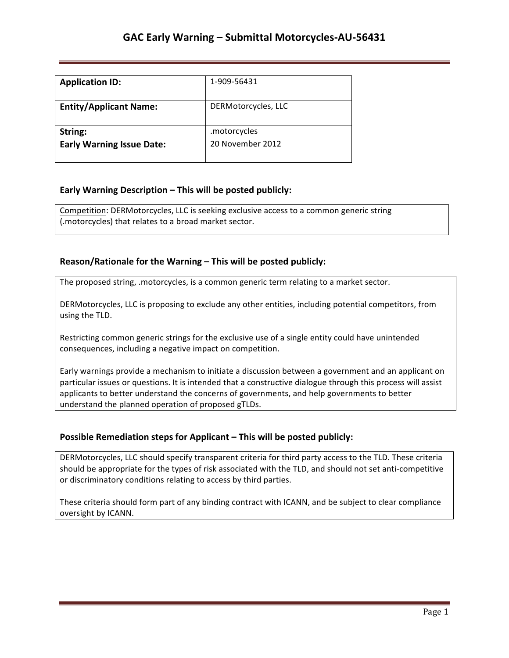## **GAC Early Warning - Submittal Motorcycles-AU-56431**

| <b>Application ID:</b>           | 1-909-56431         |
|----------------------------------|---------------------|
| <b>Entity/Applicant Name:</b>    | DERMotorcycles, LLC |
| String:                          | .motorcycles        |
| <b>Early Warning Issue Date:</b> | 20 November 2012    |

### **Early Warning Description – This will be posted publicly:**

Competition: DERMotorcycles, LLC is seeking exclusive access to a common generic string (.motorcycles) that relates to a broad market sector.

### **Reason/Rationale for the Warning – This will be posted publicly:**

The proposed string, .motorcycles, is a common generic term relating to a market sector.

DERMotorcycles, LLC is proposing to exclude any other entities, including potential competitors, from using the TLD.

Restricting common generic strings for the exclusive use of a single entity could have unintended consequences, including a negative impact on competition.

Early warnings provide a mechanism to initiate a discussion between a government and an applicant on particular issues or questions. It is intended that a constructive dialogue through this process will assist applicants to better understand the concerns of governments, and help governments to better understand the planned operation of proposed gTLDs.

### **Possible Remediation steps for Applicant – This will be posted publicly:**

DERMotorcycles, LLC should specify transparent criteria for third party access to the TLD. These criteria should be appropriate for the types of risk associated with the TLD, and should not set anti-competitive or discriminatory conditions relating to access by third parties.

These criteria should form part of any binding contract with ICANN, and be subject to clear compliance oversight by ICANN.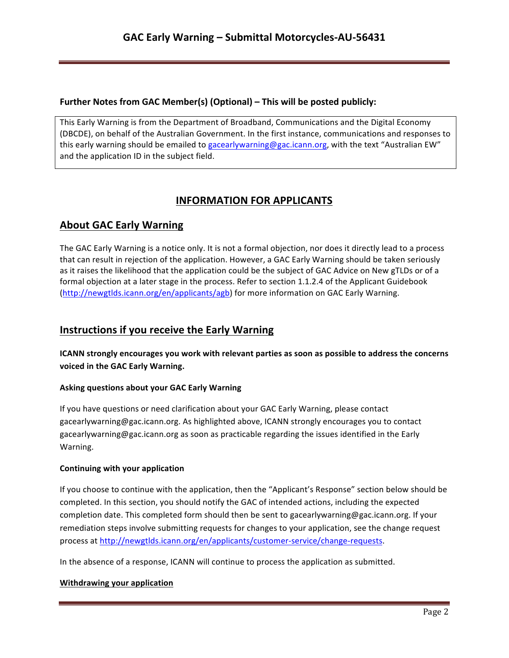## **Further Notes from GAC Member(s) (Optional) – This will be posted publicly:**

This Early Warning is from the Department of Broadband, Communications and the Digital Economy (DBCDE), on behalf of the Australian Government. In the first instance, communications and responses to this early warning should be emailed to gacearlywarning@gac.icann.org, with the text "Australian EW" and the application ID in the subject field.

# **INFORMATION FOR APPLICANTS**

## **About GAC Early Warning**

The GAC Early Warning is a notice only. It is not a formal objection, nor does it directly lead to a process that can result in rejection of the application. However, a GAC Early Warning should be taken seriously as it raises the likelihood that the application could be the subject of GAC Advice on New gTLDs or of a formal objection at a later stage in the process. Refer to section 1.1.2.4 of the Applicant Guidebook (http://newgtlds.icann.org/en/applicants/agb) for more information on GAC Early Warning.

## **Instructions if you receive the Early Warning**

**ICANN** strongly encourages you work with relevant parties as soon as possible to address the concerns voiced in the GAC Early Warning.

### **Asking questions about your GAC Early Warning**

If you have questions or need clarification about your GAC Early Warning, please contact gacearlywarning@gac.icann.org. As highlighted above, ICANN strongly encourages you to contact gacearlywarning@gac.icann.org as soon as practicable regarding the issues identified in the Early Warning. 

### **Continuing with your application**

If you choose to continue with the application, then the "Applicant's Response" section below should be completed. In this section, you should notify the GAC of intended actions, including the expected completion date. This completed form should then be sent to gacearlywarning@gac.icann.org. If your remediation steps involve submitting requests for changes to your application, see the change request process at http://newgtlds.icann.org/en/applicants/customer-service/change-requests.

In the absence of a response, ICANN will continue to process the application as submitted.

### **Withdrawing your application**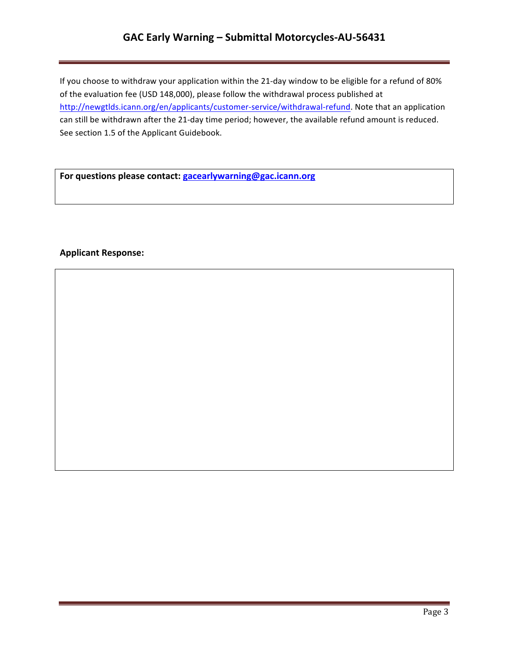# GAC Early Warning - Submittal Motorcycles-AU-56431

If you choose to withdraw your application within the 21-day window to be eligible for a refund of 80% of the evaluation fee (USD 148,000), please follow the withdrawal process published at http://newgtlds.icann.org/en/applicants/customer-service/withdrawal-refund. Note that an application can still be withdrawn after the 21-day time period; however, the available refund amount is reduced. See section 1.5 of the Applicant Guidebook.

For questions please contact: **gacearlywarning@gac.icann.org** 

### **Applicant Response:**